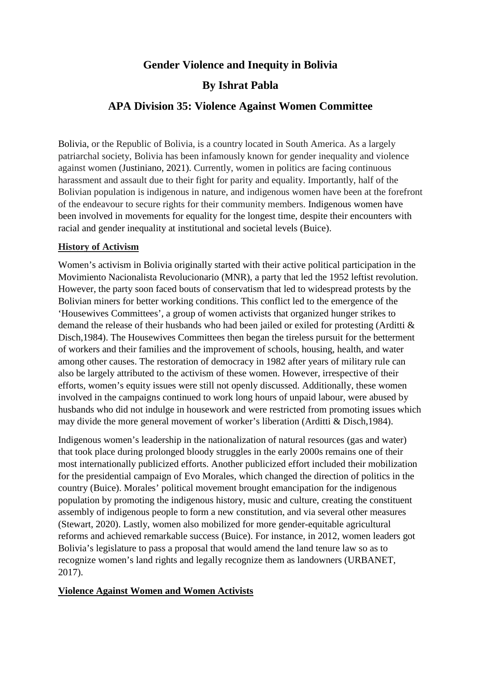# **Gender Violence and Inequity in Bolivia**

## **By Ishrat Pabla**

### **APA Division 35: Violence Against Women Committee**

Bolivia, or the Republic of Bolivia, is a country located in South America. As a largely patriarchal society, Bolivia has been infamously known for gender inequality and violence against women (Justiniano, 2021). Currently, women in politics are facing continuous harassment and assault due to their fight for parity and equality. Importantly, half of the Bolivian population is indigenous in nature, and indigenous women have been at the forefront of the endeavour to secure rights for their community members. Indigenous women have been involved in movements for equality for the longest time, despite their encounters with racial and gender inequality at institutional and societal levels (Buice).

### **History of Activism**

Women's activism in Bolivia originally started with their active political participation in the Movimiento Nacionalista Revolucionario (MNR), a party that led the 1952 leftist revolution. However, the party soon faced bouts of conservatism that led to widespread protests by the Bolivian miners for better working conditions. This conflict led to the emergence of the 'Housewives Committees', a group of women activists that organized hunger strikes to demand the release of their husbands who had been jailed or exiled for protesting (Arditti & Disch,1984). The Housewives Committees then began the tireless pursuit for the betterment of workers and their families and the improvement of schools, housing, health, and water among other causes. The restoration of democracy in 1982 after years of military rule can also be largely attributed to the activism of these women. However, irrespective of their efforts, women's equity issues were still not openly discussed. Additionally, these women involved in the campaigns continued to work long hours of unpaid labour, were abused by husbands who did not indulge in housework and were restricted from promoting issues which may divide the more general movement of worker's liberation (Arditti & Disch,1984).

Indigenous women's leadership in the nationalization of natural resources (gas and water) that took place during prolonged bloody struggles in the early 2000s remains one of their most internationally publicized efforts. Another publicized effort included their mobilization for the presidential campaign of Evo Morales, which changed the direction of politics in the country (Buice). Morales' political movement brought emancipation for the indigenous population by promoting the indigenous history, music and culture, creating the constituent assembly of indigenous people to form a new constitution, and via several other measures (Stewart, 2020). Lastly, women also mobilized for more gender-equitable agricultural reforms and achieved remarkable success (Buice). For instance, in 2012, women leaders got Bolivia's legislature to pass a proposal that would amend the land tenure law so as to recognize women's land rights and legally recognize them as landowners (URBANET, 2017).

### **Violence Against Women and Women Activists**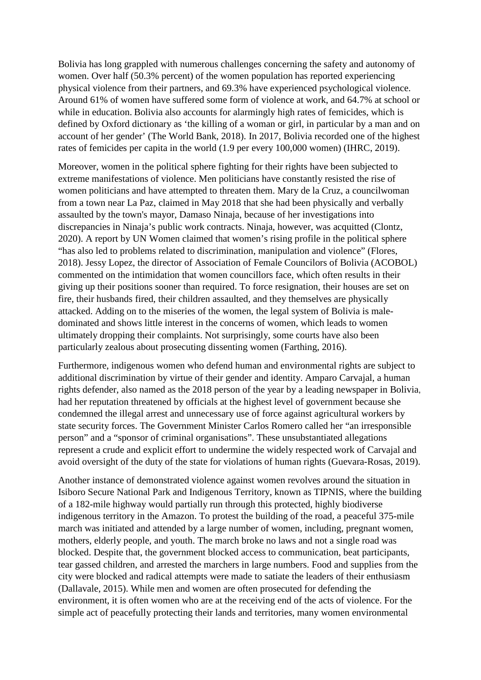Bolivia has long grappled with numerous challenges concerning the safety and autonomy of women. Over half (50.3% percent) of the women population has reported experiencing physical violence from their partners, and 69.3% have experienced psychological violence. Around 61% of women have suffered some form of violence at work, and 64.7% at school or while in education. Bolivia also accounts for alarmingly high rates of femicides, which is defined by Oxford dictionary as 'the killing of a woman or girl, in particular by a man and on account of her gender' (The World Bank, 2018). In 2017, Bolivia recorded one of the highest rates of femicides per capita in the world (1.9 per every 100,000 women) (IHRC, 2019).

Moreover, women in the political sphere fighting for their rights have been subjected to extreme manifestations of violence. Men politicians have constantly resisted the rise of women politicians and have attempted to threaten them. Mary de la Cruz, a councilwoman from a town near La Paz, claimed in May 2018 that she had been physically and verbally assaulted by the town's mayor, Damaso Ninaja, because of her investigations into discrepancies in Ninaja's public work contracts. Ninaja, however, was acquitted (Clontz, 2020). A report by UN Women claimed that women's rising profile in the political sphere "has also led to problems related to discrimination, manipulation and violence" (Flores, 2018). Jessy Lopez, the director of [Association of Female Councilors of Bolivia](http://www.acobol.org.bo/site/) (ACOBOL) commented on the intimidation that women councillors face, which often results in their giving up their positions sooner than required. To force resignation, their houses are set on fire, their husbands fired, their children assaulted, and they themselves are physically attacked. Adding on to the miseries of the women, the legal system of Bolivia is maledominated and shows little interest in the concerns of women, which leads to women ultimately dropping their complaints. Not surprisingly, some courts have also been particularly zealous about prosecuting dissenting women (Farthing, 2016).

Furthermore, indigenous women who defend human and environmental rights are subject to additional discrimination by virtue of their gender and identity. Amparo Carvajal, a human rights defender, also named as the 2018 person of the year by a leading newspaper in Bolivia, had her reputation threatened by officials at the highest level of government because she condemned the illegal arrest and unnecessary use of force against agricultural workers by state security forces. The Government Minister Carlos Romero called her "an irresponsible person" and a "sponsor of criminal organisations". These unsubstantiated allegations represent a crude and explicit effort to undermine the widely respected work of Carvajal and avoid oversight of the duty of the state for violations of human rights (Guevara-Rosas, 2019).

Another instance of demonstrated violence against women revolves around the situation in [Isiboro Secure National Park and Indigenous Territory,](http://e360.yale.edu/feature/in_bolivia_a_battle_over_a_highway_and_a_way_of_life/2566/) known as TIPNIS, where the building of a 182-mile highway would partially run through this protected, highly biodiverse indigenous territory in the Amazon. To protest the building of the road, a peaceful 375-mile march was initiated and attended by a large number of women, including, pregnant women, mothers, elderly people, and youth. The march broke no laws and not a single road was blocked. Despite that, the government blocked access to communication, beat participants, tear gassed children, and arrested the marchers in large numbers. Food and supplies from the city were blocked and radical attempts were made to satiate the leaders of their enthusiasm (Dallavale, 2015). While men and women are often prosecuted for defending the environment, it is often women who are at the receiving end of the acts of violence. For the simple act of peacefully protecting their lands and territories, many women environmental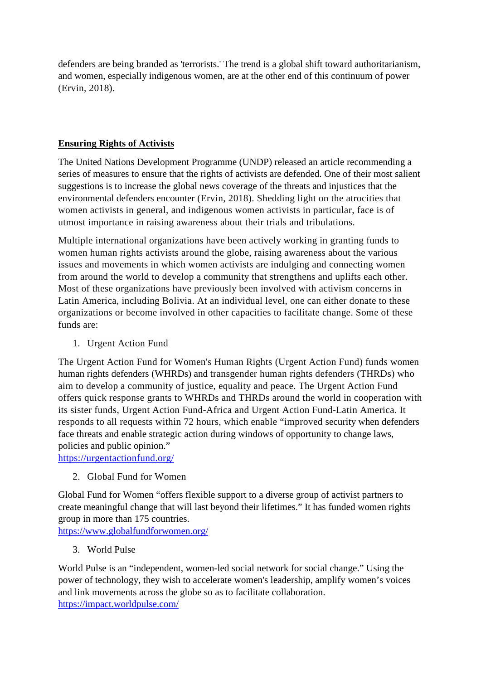defenders are being branded as 'terrorists.' The trend is a global shift toward authoritarianism, and women, especially indigenous women, are at the other end of this continuum of power (Ervin, 2018).

### **Ensuring Rights of Activists**

The United Nations Development Programme (UNDP) released an article recommending a series of measures to ensure that the rights of activists are defended. One of their most salient suggestions is to increase the global news coverage of the threats and injustices that the environmental defenders encounter (Ervin, 2018). Shedding light on the atrocities that women activists in general, and indigenous women activists in particular, face is of utmost importance in raising awareness about their trials and tribulations.

Multiple international organizations have been actively working in granting funds to women human rights activists around the globe, raising awareness about the various issues and movements in which women activists are indulging and connecting women from around the world to develop a community that strengthens and uplifts each other. Most of these organizations have previously been involved with activism concerns in Latin America, including Bolivia. At an individual level, one can either donate to these organizations or become involved in other capacities to facilitate change. Some of these funds are:

1. Urgent Action Fund

The Urgent Action Fund for Women's Human Rights (Urgent Action Fund) funds women human rights defenders (WHRDs) and transgender human rights defenders (THRDs) who aim to develop a community of justice, equality and peace. The Urgent Action Fund offers quick response grants to WHRDs and THRDs around the world in cooperation with its sister funds, Urgent Action Fund-Africa and Urgent Action Fund-Latin America. It responds to all requests within 72 hours, which enable "improved security when defenders face threats and enable strategic action during windows of opportunity to change laws, policies and public opinion."

<https://urgentactionfund.org/>

2. Global Fund for Women

Global Fund for Women "offers flexible support to a diverse group of activist partners to create meaningful change that will last beyond their lifetimes." It has funded women rights group in more than 175 countries.

<https://www.globalfundforwomen.org/>

3. World Pulse

World Pulse is an "independent, women-led social network for social change." Using the power of technology, they wish to accelerate women's leadership, amplify women's voices and link movements across the globe so as to facilitate collaboration. <https://impact.worldpulse.com/>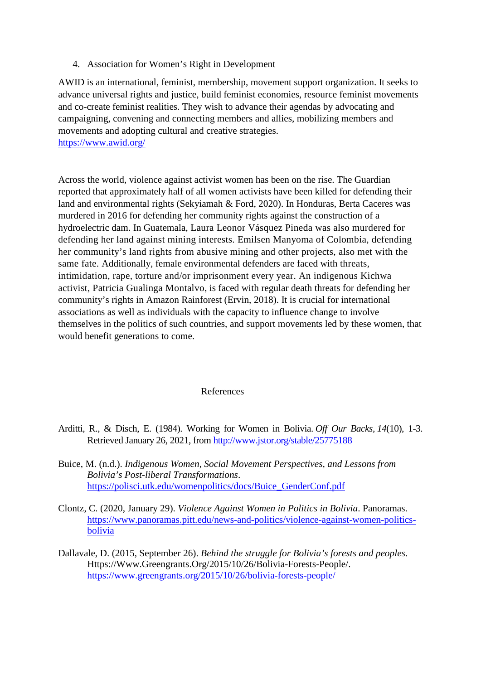4. Association for Women's Right in Development

AWID is an international, feminist, membership, movement support organization. It seeks to advance universal rights and justice, build feminist economies, resource feminist movements and co-create feminist realities. They wish to advance their agendas by advocating and campaigning, convening and connecting members and allies, mobilizing members and movements and adopting cultural and creative strategies. <https://www.awid.org/>

Across the world, violence against activist women has been on the rise. The Guardian reported that approximately half of all women activists have been killed for defending their land and environmental rights (Sekyiamah & Ford, 2020). In Honduras, Berta Caceres was murdered in 2016 for defending her community rights against the construction of a hydroelectric dam. In Guatemala, [Laura Leonor Vásquez Pineda](http://www.omct.org/human-rights-defenders/urgent-interventions/guatemala/2017/01/d24175/) was also murdered for defending her land against mining interests. Emilsen Manyoma of Colombia, defending her community's land rights from abusive mining and other projects, also met with the same fate. Additionally, female environmental defenders are faced with threats, intimidation, rape, torture and/or imprisonment every year. An indigenous Kichwa activist, [Patricia Gualinga Montalvo,](https://www.culturalsurvival.org/news/indigenous-leader-patricia-gualinga-sarayaku-receives-death-threats) is faced with regular death threats for defending her community's rights in Amazon Rainforest (Ervin, 2018). It is crucial for international associations as well as individuals with the capacity to influence change to involve themselves in the politics of such countries, and support movements led by these women, that would benefit generations to come.

#### References

- Arditti, R., & Disch, E. (1984). Working for Women in Bolivia. *Off Our Backs, 14*(10), 1-3. Retrieved January 26, 2021, from<http://www.jstor.org/stable/25775188>
- Buice, M. (n.d.). *Indigenous Women, Social Movement Perspectives, and Lessons from Bolivia's Post-liberal Transformations*. [https://polisci.utk.edu/womenpolitics/docs/Buice\\_GenderConf.pdf](https://polisci.utk.edu/womenpolitics/docs/Buice_GenderConf.pdf)
- Clontz, C. (2020, January 29). *Violence Against Women in Politics in Bolivia*. Panoramas. [https://www.panoramas.pitt.edu/news-and-politics/violence-against-women-politics](https://www.panoramas.pitt.edu/news-and-politics/violence-against-women-politics-bolivia)[bolivia](https://www.panoramas.pitt.edu/news-and-politics/violence-against-women-politics-bolivia)
- Dallavale, D. (2015, September 26). *Behind the struggle for Bolivia's forests and peoples*. Https://Www.Greengrants.Org/2015/10/26/Bolivia-Forests-People/. <https://www.greengrants.org/2015/10/26/bolivia-forests-people/>